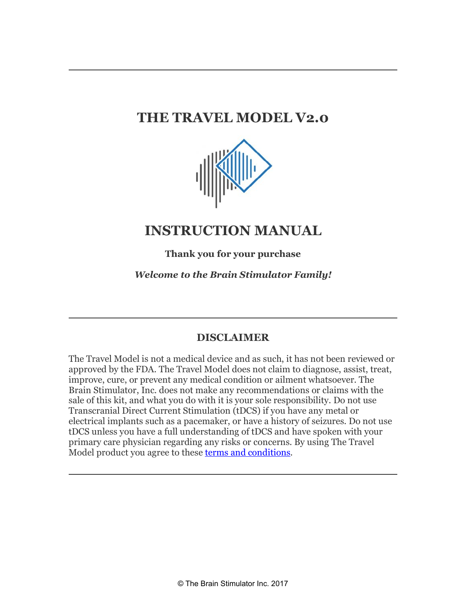# **THE TRAVEL MODEL V2.0**



## **INSTRUCTION MANUAL**

**Thank you for your purchase**

*Welcome to the Brain Stimulator Family!*

## **DISCLAIMER**

The Travel Model is not a medical device and as such, it has not been reviewed or approved by the FDA. The Travel Model does not claim to diagnose, assist, treat, improve, cure, or prevent any medical condition or ailment whatsoever. The Brain Stimulator, Inc. does not make any recommendations or claims with the sale of this kit, and what you do with it is your sole responsibility. Do not use Transcranial Direct Current Stimulation (tDCS) if you have any metal or electrical implants such as a pacemaker, or have a history of seizures. Do not use tDCS unless you have a full understanding of tDCS and have spoken with your primary care physician regarding any risks or concerns. By using The Travel Model product you agree to these terms and conditions.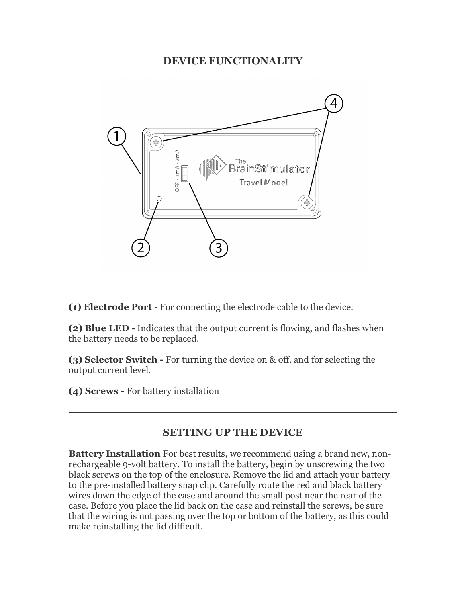#### **DEVICE FUNCTIONALITY**



**(1) Electrode Port -** For connecting the electrode cable to the device.

**(2) Blue LED -** Indicates that the output current is flowing, and flashes when the battery needs to be replaced.

**(3) Selector Switch -** For turning the device on & off, and for selecting the output current level.

**(4) Screws -** For battery installation

#### **SETTING UP THE DEVICE**

**Battery Installation** For best results, we recommend using a brand new, nonrechargeable 9-volt battery. To install the battery, begin by unscrewing the two black screws on the top of the enclosure. Remove the lid and attach your battery to the pre-installed battery snap clip. Carefully route the red and black battery wires down the edge of the case and around the small post near the rear of the case. Before you place the lid back on the case and reinstall the screws, be sure that the wiring is not passing over the top or bottom of the battery, as this could make reinstalling the lid difficult.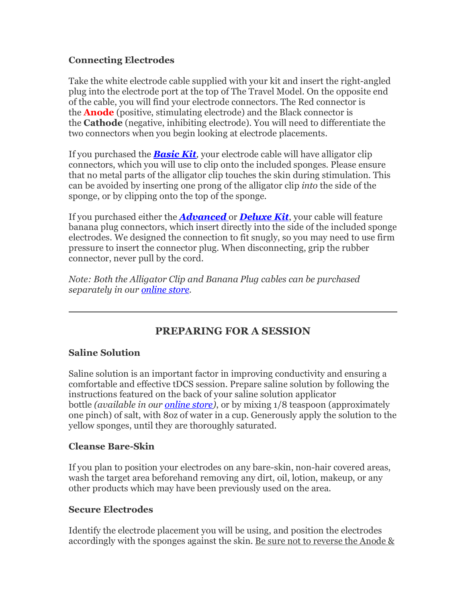#### **Connecting Electrodes**

Take the white electrode cable supplied with your kit and insert the right-angled plug into the electrode port at the top of The Travel Model. On the opposite end of the cable, you will find your electrode connectors. The Red connector is the **Anode** (positive, stimulating electrode) and the Black connector is the **Cathode** (negative, inhibiting electrode). You will need to differentiate the two connectors when you begin looking at electrode placements.

If you purchased the *Basic Kit,* your electrode cable will have alligator clip connectors, which you will use to clip onto the included sponges. Please ensure that no metal parts of the alligator clip touches the skin during stimulation. This can be avoided by inserting one prong of the alligator clip *into* the side of the sponge, or by clipping onto the top of the sponge.

If you purchased either the *Advanced* or *Deluxe Kit*, your cable will feature banana plug connectors, which insert directly into the side of the included sponge electrodes. We designed the connection to fit snugly, so you may need to use firm pressure to insert the connector plug. When disconnecting, grip the rubber connector, never pull by the cord.

*Note: Both the Alligator Clip and Banana Plug cables can be purchased separately in our online store.*

## **PREPARING FOR A SESSION**

#### **Saline Solution**

Saline solution is an important factor in improving conductivity and ensuring a comfortable and effective tDCS session. Prepare saline solution by following the instructions featured on the back of your saline solution applicator bottle *(available in our online store)*, or by mixing 1/8 teaspoon (approximately one pinch) of salt, with 8oz of water in a cup. Generously apply the solution to the yellow sponges, until they are thoroughly saturated.

#### **Cleanse Bare-Skin**

If you plan to position your electrodes on any bare-skin, non-hair covered areas, wash the target area beforehand removing any dirt, oil, lotion, makeup, or any other products which may have been previously used on the area.

#### **Secure Electrodes**

Identify the electrode placement you will be using, and position the electrodes accordingly with the sponges against the skin. Be sure not to reverse the Anode &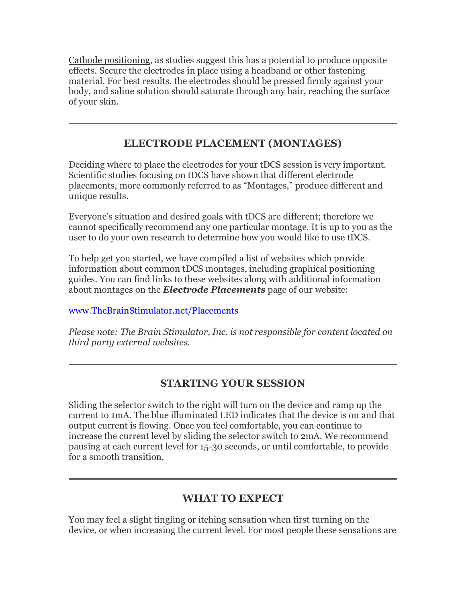Cathode positioning, as studies suggest this has a potential to produce opposite effects. Secure the electrodes in place using a headband or other fastening material. For best results, the electrodes should be pressed firmly against your body, and saline solution should saturate through any hair, reaching the surface of your skin.

#### **ELECTRODE PLACEMENT (MONTAGES)**

Deciding where to place the electrodes for your tDCS session is very important. Scientific studies focusing on tDCS have shown that different electrode placements, more commonly referred to as "Montages," produce different and unique results.

Everyone's situation and desired goals with tDCS are different; therefore we cannot specifically recommend any one particular montage. It is up to you as the user to do your own research to determine how you would like to use tDCS.

To help get you started, we have compiled a list of websites which provide information about common tDCS montages, including graphical positioning guides. You can find links to these websites along with additional information about montages on the *Electrode Placements* page of our website:

www.TheBrainStimulator.net/Placements

*Please note: The Brain Stimulator, Inc. is not responsible for content located on third party external websites.*

## **STARTING YOUR SESSION**

Sliding the selector switch to the right will turn on the device and ramp up the current to 1mA. The blue illuminated LED indicates that the device is on and that output current is flowing. Once you feel comfortable, you can continue to increase the current level by sliding the selector switch to 2mA. We recommend pausing at each current level for 15-30 seconds, or until comfortable, to provide for a smooth transition.

## **WHAT TO EXPECT**

You may feel a slight tingling or itching sensation when first turning on the device, or when increasing the current level. For most people these sensations are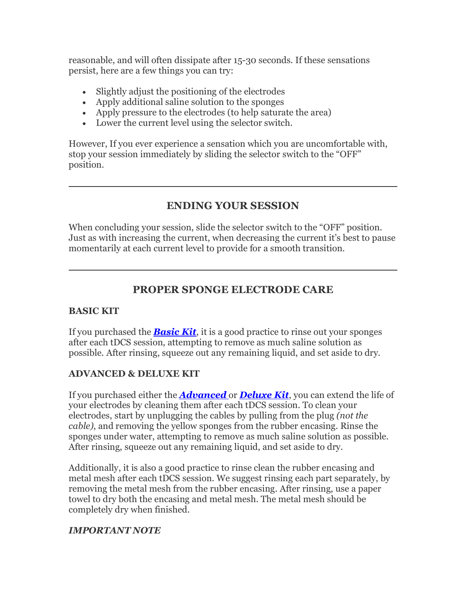reasonable, and will often dissipate after 15-30 seconds. If these sensations persist, here are a few things you can try:

- Slightly adjust the positioning of the electrodes
- Apply additional saline solution to the sponges
- Apply pressure to the electrodes (to help saturate the area)
- Lower the current level using the selector switch.

However, If you ever experience a sensation which you are uncomfortable with, stop your session immediately by sliding the selector switch to the "OFF" position.

## **ENDING YOUR SESSION**

When concluding your session, slide the selector switch to the "OFF" position. Just as with increasing the current, when decreasing the current it's best to pause momentarily at each current level to provide for a smooth transition.

## **PROPER SPONGE ELECTRODE CARE**

#### **BASIC KIT**

If you purchased the *Basic Kit*, it is a good practice to rinse out your sponges after each tDCS session, attempting to remove as much saline solution as possible. After rinsing, squeeze out any remaining liquid, and set aside to dry.

#### **ADVANCED & DELUXE KIT**

If you purchased either the *Advanced* or *Deluxe Kit*, you can extend the life of your electrodes by cleaning them after each tDCS session. To clean your electrodes, start by unplugging the cables by pulling from the plug *(not the cable)*, and removing the yellow sponges from the rubber encasing. Rinse the sponges under water, attempting to remove as much saline solution as possible. After rinsing, squeeze out any remaining liquid, and set aside to dry.

Additionally, it is also a good practice to rinse clean the rubber encasing and metal mesh after each tDCS session. We suggest rinsing each part separately, by removing the metal mesh from the rubber encasing. After rinsing, use a paper towel to dry both the encasing and metal mesh. The metal mesh should be completely dry when finished.

#### *IMPORTANT NOTE*